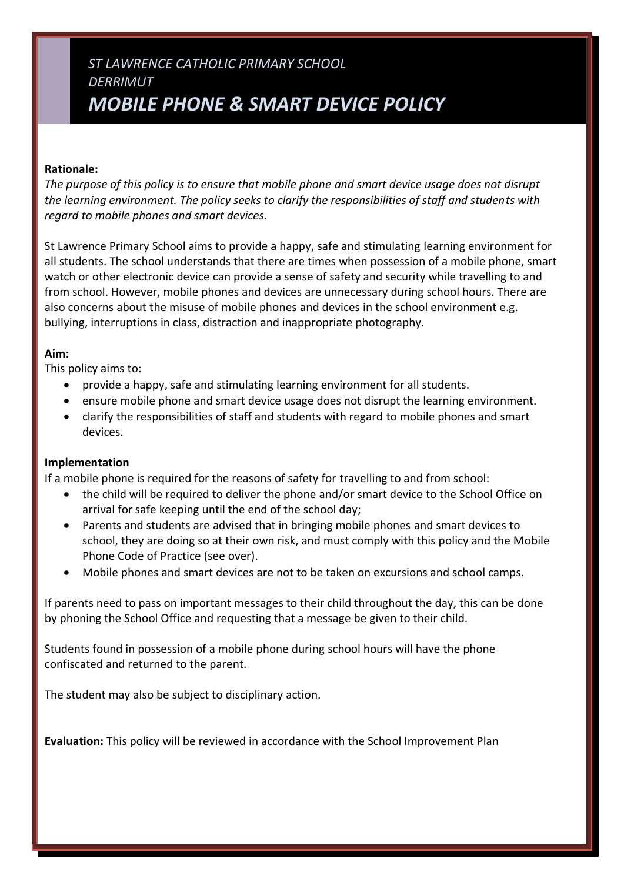# *ST LAWRENCE CATHOLIC PRIMARY SCHOOL DERRIMUT MOBILE PHONE & SMART DEVICE POLICY*

#### **Rationale:**

*The purpose of this policy is to ensure that mobile phone and smart device usage does not disrupt the learning environment. The policy seeks to clarify the responsibilities of staff and students with regard to mobile phones and smart devices.*

St Lawrence Primary School aims to provide a happy, safe and stimulating learning environment for all students. The school understands that there are times when possession of a mobile phone, smart watch or other electronic device can provide a sense of safety and security while travelling to and from school. However, mobile phones and devices are unnecessary during school hours. There are also concerns about the misuse of mobile phones and devices in the school environment e.g. bullying, interruptions in class, distraction and inappropriate photography.

#### **Aim:**

This policy aims to:

- provide a happy, safe and stimulating learning environment for all students.
- ensure mobile phone and smart device usage does not disrupt the learning environment.
- clarify the responsibilities of staff and students with regard to mobile phones and smart devices.

#### **Implementation**

If a mobile phone is required for the reasons of safety for travelling to and from school:

- the child will be required to deliver the phone and/or smart device to the School Office on arrival for safe keeping until the end of the school day;
- Parents and students are advised that in bringing mobile phones and smart devices to school, they are doing so at their own risk, and must comply with this policy and the Mobile Phone Code of Practice (see over).
- Mobile phones and smart devices are not to be taken on excursions and school camps.

If parents need to pass on important messages to their child throughout the day, this can be done by phoning the School Office and requesting that a message be given to their child.

Students found in possession of a mobile phone during school hours will have the phone confiscated and returned to the parent.

The student may also be subject to disciplinary action.

**Evaluation:** This policy will be reviewed in accordance with the School Improvement Plan